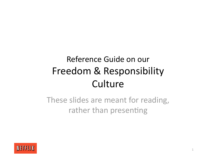### Reference Guide on our Freedom & Responsibility Culture

These slides are meant for reading, rather than presenting

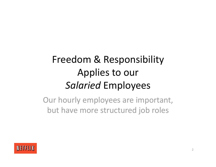# Freedom & Responsibility Applies to our *Salaried* Employees

Our hourly employees are important, but have more structured job roles

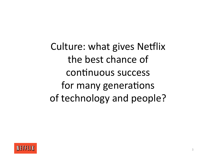Culture: what gives Netflix the best chance of continuous success for many generations of technology and people?

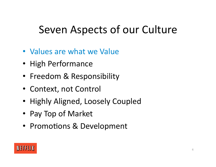# Seven Aspects of our Culture

- Values are what we Value
- High Performance
- Freedom & Responsibility
- Context, not Control
- Highly Aligned, Loosely Coupled
- Pay Top of Market
- Promotions & Development

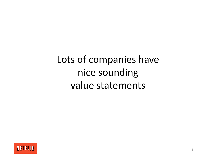Lots of companies have nice sounding value statements

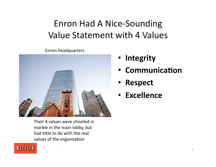### Enron Had A Nice‐Sounding Value Statement with 4 Values

Enron headquarters



Their 4 values were chiseled in marble in the main lobby, but had little to do with the real values of the organization

- **Integrity**
- **Communication**
- **Respect**
- **Excellence**

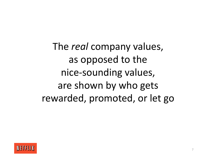The *real* company values, as opposed to the nice‐sounding values, are shown by who gets rewarded, promoted, or let go

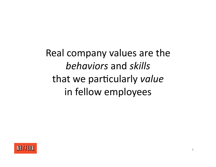Real company values are the *behaviors* and *skills* that we particularly *value* in fellow employees

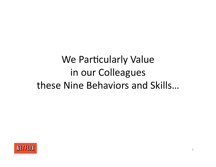### We Particularly Value in our Colleagues these Nine Behaviors and Skills...

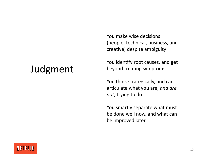You make wise decisions (people, technical, business, and creative) despite ambiguity

You identify root causes, and get beyond treating symptoms

You think strategically, and can articulate what you are, and are *not*, trying to do

You smartly separate what must be done well now, and what can be improved later

### Judgment

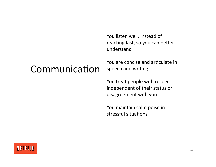You listen well, instead of reacting fast, so you can better understand

### Communication

You are concise and articulate in speech and writing

You treat people with respect independent of their status or disagreement with you

You maintain calm poise in stressful situations

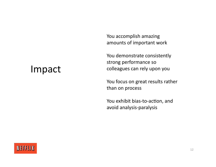You accomplish amazing amounts of important work

You demonstrate consistently strong performance so colleagues can rely upon you

You focus on great results rather than on process

You exhibit bias-to-action, and avoid analysis‐paralysis

### Impact

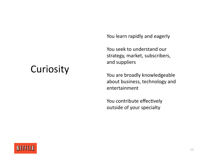You learn rapidly and eagerly

You seek to understand our strategy, market, subscribers, and suppliers

You are broadly knowledgeable about business, technology and entertainment

You contribute effectively outside of your specialty



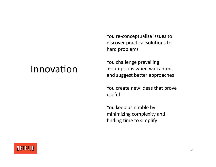### Innovation

You re-conceptualize issues to discover practical solutions to hard problems

You challenge prevailing assumptions when warranted, and suggest better approaches

You create new ideas that prove useful

You keep us nimble by minimizing complexity and finding time to simplify

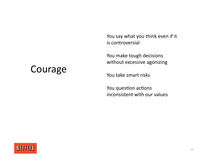You say what you think even if it is controversial

You make tough decisions without excessive agonizing

You take smart risks

You question actions inconsistent with our values



Courage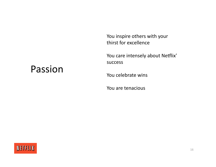You inspire others with your thirst for excellence

You care intensely about Netflix' success

### Passion

You celebrate wins

You are tenacious

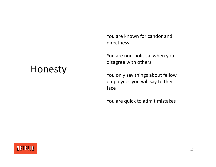You are known for candor and directness

You are non-political when you disagree with others

### You only say things about fellow employees you will say to their face

You are quick to admit mistakes

### Honesty

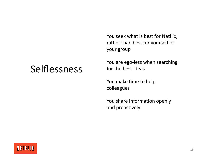### Selflessness

You seek what is best for Netflix, rather than best for yourself or your group

You are ego-less when searching for the best ideas

You make time to help colleagues

You share information openly and proactively

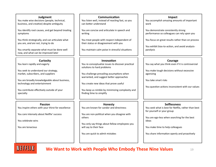#### **Judgment**

You make wise decisions (people, technical, business, and creative) despite ambiguity

You identify root causes, and get beyond treating symptoms

You think strategically, and can articulate what you are, *and are not*, trying to do

You smartly separate what must be done well now, and what can be improved later

#### **Curiosity**

You learn rapidly and eagerly

You seek to understand our strategy, market, subscribers, and suppliers

You are broadly knowledgeable about business, technology and entertainment

You contribute effectively outside of your specialty

#### **Passion**  You inspire others with your thirst for excellence

You care intensely about Netflix' success

You celebrate wins

You are tenacious

#### **Communication**

You listen well, instead of reacting fast, so you can better understand

You are concise and articulate in speech and writing

You treat people with respect independent of their status or disagreement with you

You maintain calm poise in stressful situations

#### **Innovation**

You re-conceptualize issues to discover practical solutions to hard problems

You challenge prevailing assumptions when warranted, and suggest better approaches

You create new ideas that prove useful

You keep us nimble by minimizing complexity and finding time to simplify

**Honesty**  You are known for candor and directness

You are non-political when you disagree with others

You only say things about fellow employees you will say to their face

You are quick to admit mistakes

#### **Impact**

You accomplish amazing amounts of important work

You demonstrate consistently strong performance so colleagues can rely upon you

You focus on great results rather than on process

You exhibit bias-to-action, and avoid analysisparalysis

#### **Courage**

You say what you think even if it is controversial

You make tough decisions without excessive agonizing

You take smart risks

You question actions inconsistent with our values

#### **Selflessness**

You seek what is best for Netflix, rather than best for yourself or your group

You are ego-less when searching for the best ideas

You make time to help colleagues

You share information openly and proactively



**We Want to Work with People Who Embody These Nine Values 19**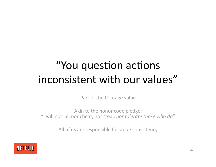# "You question actions" inconsistent with our values"

Part of the Courage value

Akin to the honor code pledge: "I will not lie, nor cheat, nor steal, nor tolerate those who do"

All of us are responsible for value consistency

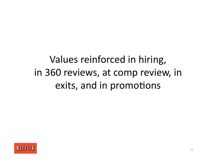# Values reinforced in hiring, in 360 reviews, at comp review, in exits, and in promotions

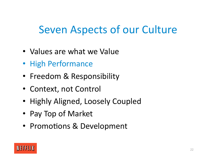### Seven Aspects of our Culture

- Values are what we Value
- High Performance
- Freedom & Responsibility
- Context, not Control
- Highly Aligned, Loosely Coupled
- Pay Top of Market
- Promotions & Development

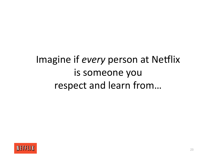# Imagine if every person at Netflix is someone you respect and learn from...

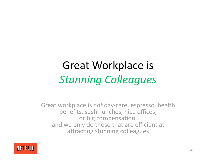# Great Workplace is *Stunning Colleagues*

Great workplace is *not* day‐care, espresso, health benefits, sushi lunches, nice offices, or big compensation, and we only do those that are efficient at attracting stunning colleagues

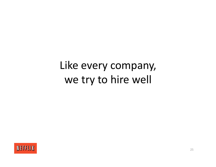# Like every company, we try to hire well

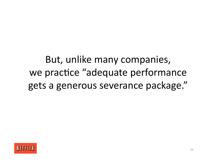# But, unlike many companies, we practice "adequate performance gets a generous severance package."

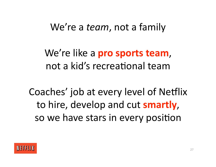### We're a *team*, not a family

We're like a **pro sports team**, not a kid's recreational team

Coaches' job at every level of Netflix to hire, develop and cut **smartly**, so we have stars in every position

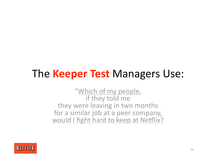### The **Keeper Test** Managers Use:

"Which of my people, if they told me they were leaving in two months for a similar job at a peer company, would I fight hard to keep at Netflix?

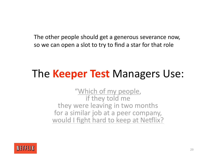The other people should get a generous severance now, so we can open a slot to try to find a star for that role

### The **Keeper Test** Managers Use:

"Which of my people, if they told me they were leaving in two months for a similar job at a peer company, would I fight hard to keep at Netflix?

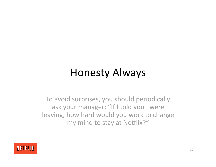# Honesty Always

To avoid surprises, you should periodically ask your manager: "If I told you I were leaving, how hard would you work to change my mind to stay at Netflix?"

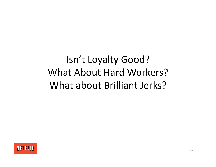# Isn't Loyalty Good? What About Hard Workers? What about Brilliant Jerks?

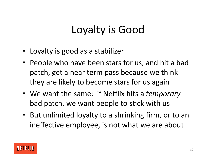# Loyalty is Good

- Loyalty is good as a stabilizer
- People who have been stars for us, and hit a bad patch, get a near term pass because we think they are likely to become stars for us again
- We want the same: if Netflix hits a *temporary* bad patch, we want people to stick with us
- But unlimited loyalty to a shrinking firm, or to an ineffective employee, is not what we are about

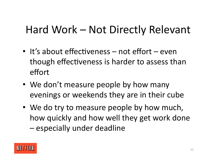# Hard Work – Not Directly Relevant

- It's about effectiveness not effort even though effectiveness is harder to assess than effort
- We don't measure people by how many evenings or weekends they are in their cube
- We do try to measure people by how much, how quickly and how well they get work done – especially under deadline

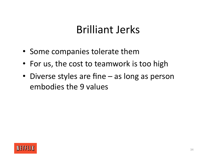### Brilliant Jerks

- Some companies tolerate them
- For us, the cost to teamwork is too high
- Diverse styles are fine as long as person embodies the 9 values

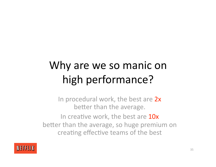# Why are we so manic on high performance?

In procedural work, the best are 2x better than the average. In creative work, the best are  $10x$ better than the average, so huge premium on creating effective teams of the best

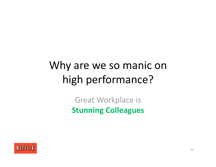# Why are we so manic on high performance?

Great Workplace is **Stunning Colleagues** 

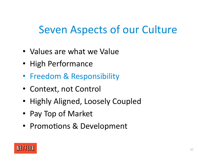#### Seven Aspects of our Culture

- Values are what we Value
- High Performance
- Freedom & Responsibility
- Context, not Control
- Highly Aligned, Loosely Coupled
- Pay Top of Market
- Promotions & Development

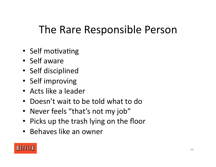## The Rare Responsible Person

- Self motivating
- Self aware
- Self disciplined
- Self improving
- Acts like a leader
- Doesn't wait to be told what to do
- Never feels "that's not my job"
- Picks up the trash lying on the floor
- Behaves like an owner

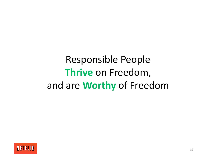## Responsible People **Thrive** on Freedom, and are **Worthy** of Freedom

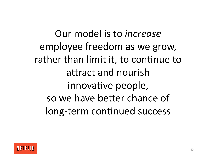Our model is to *increase* employee freedom as we grow, rather than limit it, to continue to attract and nourish innovative people, so we have better chance of long-term continued success

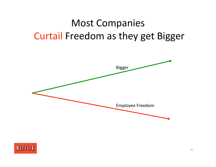#### Most Companies Curtail Freedom as they get Bigger



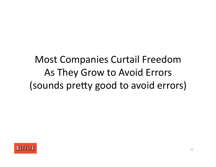## Most Companies Curtail Freedom As They Grow to Avoid Errors (sounds pretty good to avoid errors)

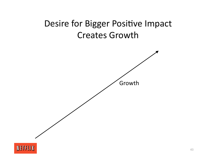#### Desire for Bigger Positive Impact **Creates Growth**

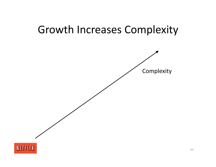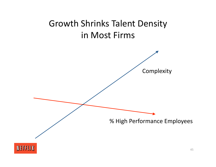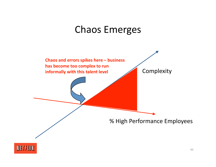#### Chaos Emerges



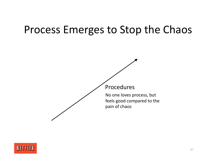#### Process Emerges to Stop the Chaos

Procedures No one loves process, but feels good compared to the

pain of chaos

NETFLIX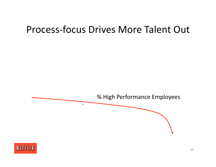#### Process‐focus Drives More Talent Out



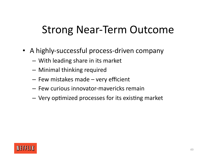#### Strong Near‐Term Outcome

- A highly-successful process-driven company
	- With leading share in its market
	- Minimal thinking required
	- Few mistakes made very efficient
	- Few curious innovator‐mavericks remain
	- $-$  Very optimized processes for its existing market

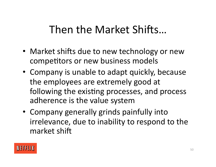#### Then the Market Shifts...

- Market shifts due to new technology or new competitors or new business models
- Company is unable to adapt quickly, because the employees are extremely good at following the existing processes, and process adherence is the value system
- Company generally grinds painfully into irrelevance, due to inability to respond to the market shift

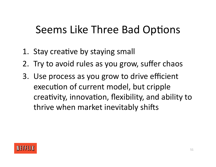#### Seems Like Three Bad Options

- 1. Stay creative by staying small
- 2. Try to avoid rules as you grow, suffer chaos
- 3. Use process as you grow to drive efficient execution of current model, but cripple creativity, innovation, flexibility, and ability to thrive when market inevitably shifts

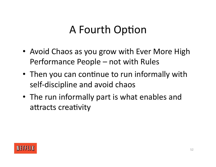## A Fourth Option

- Avoid Chaos as you grow with Ever More High Performance People – not with Rules
- Then you can continue to run informally with self-discipline and avoid chaos
- The run informally part is what enables and attracts creativity

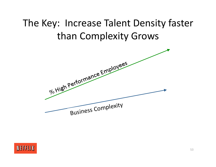## The Key: Increase Talent Density faster than Complexity Grows



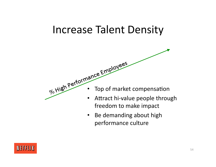# **Increase Talent Density** % High Performance Employees Top of market compensation Attract hi-value people through  $\bullet$ freedom to make impact

Be demanding about high  $\bullet$ performance culture

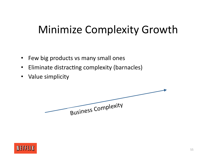#### Minimize Complexity Growth

- Few big products vs many small ones
- Eliminate distracting complexity (barnacles)
- Value simplicity



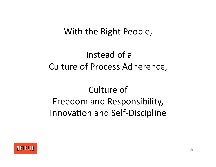#### With the Right People,

#### Instead of a Culture of Process Adherence,

#### Culture of Freedom and Responsibility, **Innovation and Self-Discipline**

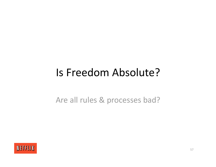#### Is Freedom Absolute?

Are all rules & processes bad?

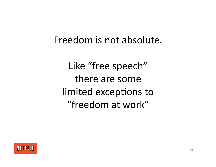#### Freedom is not absolute.

Like "free speech" there are some limited exceptions to "freedom at work"

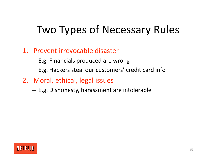## Two Types of Necessary Rules

#### 1. Prevent irrevocable disaster

- E.g. Financials produced are wrong
- E.g. Hackers steal our customers' credit card info
- 2. Moral, ethical, legal issues
	- E.g. Dishonesty, harassment are intolerable

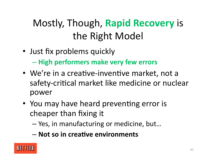## Mostly, Though, **Rapid Recovery** is the Right Model

- Just fix problems quickly
	- **High performers make very few errors**
- We're in a creative-inventive market, not a safety-critical market like medicine or nuclear power
- You may have heard preventing error is cheaper than fixing it
	- Yes, in manufacturing or medicine, but…
	- $-$  Not so in creative environments

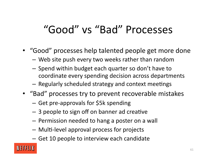#### "Good" vs "Bad" Processes

- "Good" processes help talented people get more done
	- Web site push every two weeks rather than random
	- Spend within budget each quarter so don't have to coordinate every spending decision across departments
	- $-$  Regularly scheduled strategy and context meetings
- "Bad" processes try to prevent recoverable mistakes
	- Get pre‐approvals for \$5k spending
	- $-$  3 people to sign off on banner ad creative
	- Permission needed to hang a poster on a wall
	- $-$  Multi-level approval process for projects
	- Get 10 people to interview each candidate

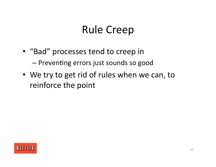## **Rule Creep**

- "Bad" processes tend to creep in - Preventing errors just sounds so good
- We try to get rid of rules when we can, to reinforce the point

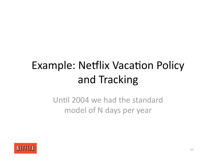# **Example: Netflix Vacation Policy** and Tracking

Until 2004 we had the standard model of N days per year

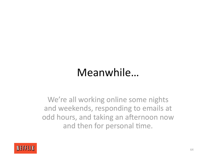## Meanwhile…

We're all working online some nights and weekends, responding to emails at odd hours, and taking an afternoon now and then for personal time.

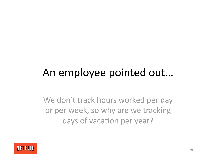## An employee pointed out…

We don't track hours worked per day or per week, so why are we tracking days of vacation per year?

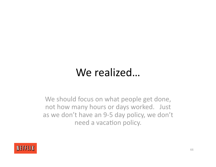## We realized…

We should focus on what people get done, not how many hours or days worked. Just as we don't have an 9‐5 day policy, we don't need a vacation policy.

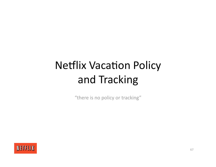# **Netflix Vacation Policy** and Tracking

"there is no policy or tracking"

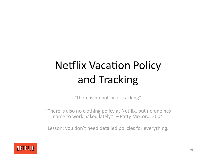# **Netflix Vacation Policy** and Tracking

"there is no policy or tracking"

"There is also no clothing policy at Netflix, but no one has come to work naked lately." - Patty McCord, 2004

Lesson: you don't need detailed policies for everything.

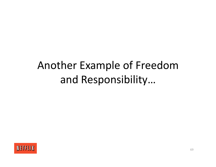# Another Example of Freedom and Responsibility...

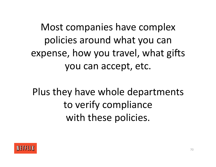Most companies have complex policies around what you can expense, how you travel, what gifts you can accept, etc.

Plus they have whole departments to verify compliance with these policies.

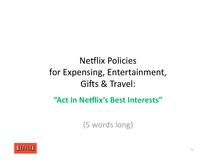#### **Netflix Policies** for Expensing, Entertainment, Gifts & Travel:

#### "Act in Netflix's Best Interests"

(5 words long)

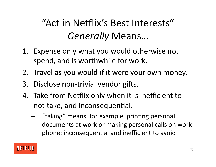## "Act in Netflix's Best Interests" *Generally* Means…

- 1. Expense only what you would otherwise not spend, and is worthwhile for work.
- 2. Travel as you would if it were your own money.
- 3. Disclose non-trivial vendor gifts.
- 4. Take from Netflix only when it is inefficient to not take, and inconsequential.
	- "taking" means, for example, printing personal documents at work or making personal calls on work phone: inconsequential and inefficient to avoid

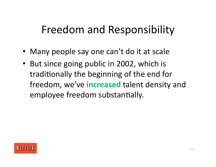## Freedom and Responsibility

- Many people say one can't do it at scale
- But since going public in 2002, which is traditionally the beginning of the end for freedom, we've **increased** talent density and employee freedom substantially.

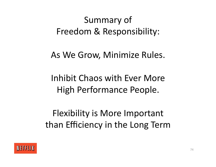### Summary of Freedom & Responsibility:

#### As We Grow, Minimize Rules.

### Inhibit Chaos with Ever More High Performance People.

### Flexibility is More Important than Efficiency in the Long Term

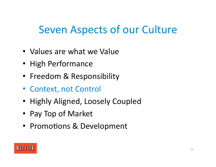### Seven Aspects of our Culture

- Values are what we Value
- High Performance
- Freedom & Responsibility
- Context, not Control
- Highly Aligned, Loosely Coupled
- Pay Top of Market
- Promotions & Development

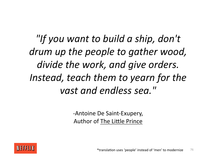*"If you want to build a ship, don't drum up the people to gather wood, divide the work, and give orders. Instead, teach them to yearn for the vast and endless sea."*

> ‐Antoine De Saint‐Exupery, Author of The Little Prince

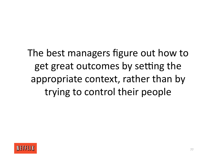The best managers figure out how to get great outcomes by setting the appropriate context, rather than by trying to control their people

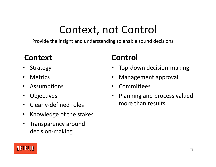# Context, not Control

Provide the insight and understanding to enable sound decisions

#### **Context**

- **Strategy**
- **Metrics**
- Assumptions
- **Objectives**
- Clearly‐defined roles
- Knowledge of the stakes
- Transparency around decision‐making

### **Control**

- Top‐down decision‐making
- Management approval
- Committees
- Planning and process valued more than results

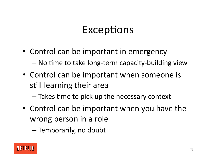### Exceptions

- Control can be important in emergency  $-$  No time to take long-term capacity-building view
- Control can be important when someone is still learning their area
	- $-$  Takes time to pick up the necessary context
- Control can be important when you have the wrong person in a role
	- Temporarily, no doubt

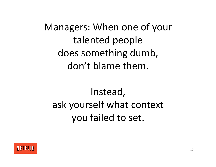Managers: When one of your talented people does something dumb, don't blame them.

# Instead, ask yourself what context you failed to set.

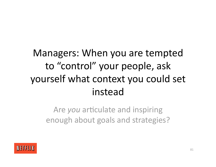# Managers: When you are tempted to "control" your people, ask yourself what context you could set instead

Are *you* articulate and inspiring enough about goals and strategies?

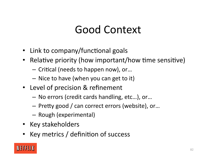## Good Context

- Link to company/functional goals
- Relative priority (how important/how time sensitive)
	- $-$  Critical (needs to happen now), or...
	- Nice to have (when you can get to it)
- Level of precision & refinement
	- No errors (credit cards handling, etc…), or…
	- Pretty good / can correct errors (website), or...
	- Rough (experimental)
- Key stakeholders
- Key metrics / definition of success

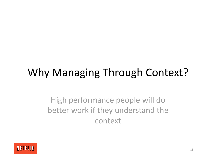# Why Managing Through Context?

High performance people will do better work if they understand the context

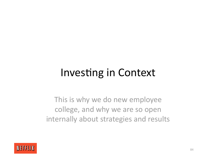# Investing in Context

This is why we do new employee college, and why we are so open internally about strategies and results

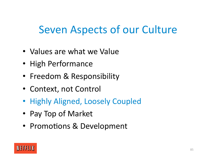### Seven Aspects of our Culture

- Values are what we Value
- High Performance
- Freedom & Responsibility
- Context, not Control
- Highly Aligned, Loosely Coupled
- Pay Top of Market
- Promotions & Development

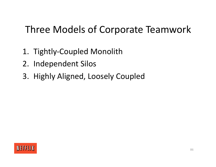### Three Models of Corporate Teamwork

- 1. Tightly‐Coupled Monolith
- 2. Independent Silos
- 3. Highly Aligned, Loosely Coupled

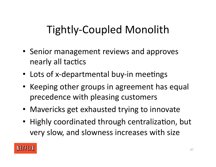# Tightly‐Coupled Monolith

- Senior management reviews and approves nearly all tactics
- Lots of x-departmental buy-in meetings
- Keeping other groups in agreement has equal precedence with pleasing customers
- Mavericks get exhausted trying to innovate
- Highly coordinated through centralization, but very slow, and slowness increases with size

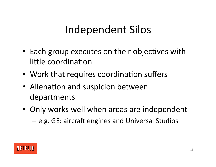# Independent Silos

- Each group executes on their objectives with little coordination
- Work that requires coordination suffers
- Alienation and suspicion between departments
- Only works well when areas are independent – e.g. GE: aircraft engines and Universal Studios

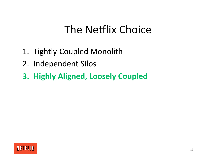# The Netflix Choice

- 1. Tightly‐Coupled Monolith
- 2. Independent Silos
- **3. Highly Aligned, Loosely Coupled**

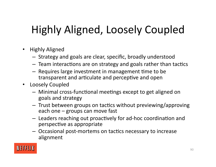# Highly Aligned, Loosely Coupled

- Highly Aligned
	- Strategy and goals are clear, specific, broadly understood
	- $-$  Team interactions are on strategy and goals rather than tactics
	- $-$  Requires large investment in management time to be transparent and articulate and perceptive and open
- Loosely Coupled
	- $-$  Minimal cross-functional meetings except to get aligned on goals and strategy
	- Trust between groups on tactics without previewing/approving each one – groups can move fast
	- Leaders reaching out proactively for ad-hoc coordination and perspective as appropriate
	- Occasional post-mortems on tactics necessary to increase alignment

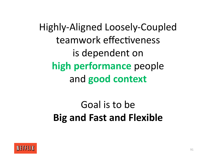Highly‐Aligned Loosely‐Coupled teamwork effectiveness is dependent on **high performance** people and **good context**

## Goal is to be **Big and Fast and Flexible**

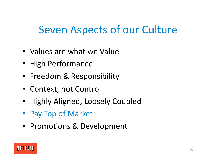### Seven Aspects of our Culture

- Values are what we Value
- High Performance
- Freedom & Responsibility
- Context, not Control
- Highly Aligned, Loosely Coupled
- Pay Top of Market
- Promotions & Development

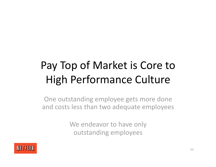# Pay Top of Market is Core to High Performance Culture

One outstanding employee gets more done and costs less than two adequate employees

> We endeavor to have only outstanding employees

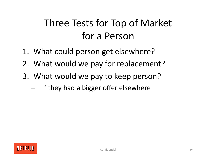## Three Tests for Top of Market for a Person

- 1. What could person get elsewhere?
- 2. What would we pay for replacement?
- 3. What would we pay to keep person?
	- If they had a bigger offer elsewhere

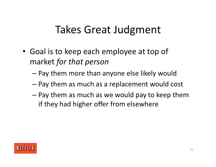### Takes Great Judgment

- Goal is to keep each employee at top of market *for that person* 
	- Pay them more than anyone else likely would
	- Pay them as much as a replacement would cost
	- Pay them as much as we would pay to keep them if they had higher offer from elsewhere

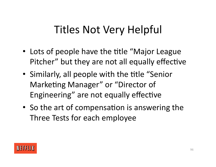### Titles Not Very Helpful

- Lots of people have the title "Major League Pitcher" but they are not all equally effective
- Similarly, all people with the title "Senior" Marketing Manager" or "Director of Engineering" are not equally effective
- So the art of compensation is answering the Three Tests for each employee

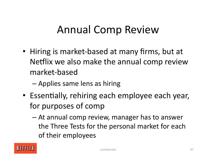# Annual Comp Review

- Hiring is market-based at many firms, but at Netflix we also make the annual comp review market‐based
	- Applies same lens as hiring
- Essentially, rehiring each employee each year, for purposes of comp
	- At annual comp review, manager has to answer the Three Tests for the personal market for each of their employees

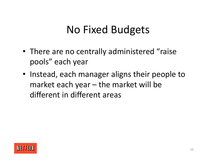## No Fixed Budgets

- There are no centrally administered "raise pools" each year
- Instead, each manager aligns their people to market each year – the market will be different in different areas

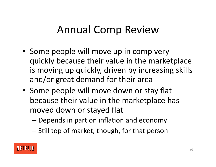## Annual Comp Review

- Some people will move up in comp very quickly because their value in the marketplace is moving up quickly, driven by increasing skills and/or great demand for their area
- Some people will move down or stay flat because their value in the marketplace has moved down or stayed flat
	- $-$  Depends in part on inflation and economy
	- $-$  Still top of market, though, for that person

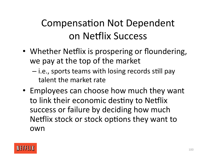## Compensation Not Dependent on Netflix Success

- Whether Netflix is prospering or floundering, we pay at the top of the market
	- $-$  i.e., sports teams with losing records still pay talent the market rate
- Employees can choose how much they want to link their economic destiny to Netflix success or failure by deciding how much Netflix stock or stock options they want to own

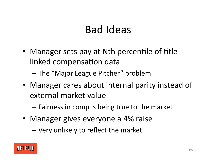## Bad Ideas

• Manager sets pay at Nth percentile of titlelinked compensation data

– The "Major League Pitcher" problem

- Manager cares about internal parity instead of external market value
	- Fairness in comp is being true to the market
- Manager gives everyone a 4% raise
	- Very unlikely to reflect the market

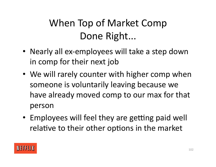# When Top of Market Comp Done Right...

- Nearly all ex-employees will take a step down in comp for their next job
- We will rarely counter with higher comp when someone is voluntarily leaving because we have already moved comp to our max for that person
- Employees will feel they are getting paid well relative to their other options in the market

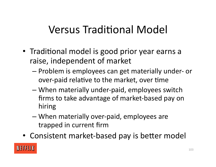# Versus Traditional Model

- Traditional model is good prior year earns a raise, independent of market
	- Problem is employees can get materially under‐ or over-paid relative to the market, over time
	- When materially under‐paid, employees switch firms to take advantage of market‐based pay on hiring
	- When materially over‐paid, employees are trapped in current firm
- Consistent market-based pay is better model

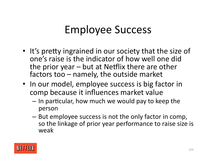## Employee Success

- It's pretty ingrained in our society that the size of one's raise is the indicator of how well one did the prior year  $-$  but at Netflix there are other factors too – namely, the outside market
- In our model, employee success is big factor in comp because it influences market value
	- $-$  In particular, how much we would pay to keep the person
	- But employee success is not the only factor in comp, so the linkage of prior year performance to raise size is weak

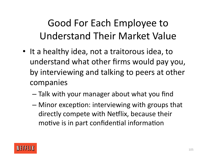Good For Each Employee to Understand Their Market Value

- It a healthy idea, not a traitorous idea, to understand what other firms would pay you, by interviewing and talking to peers at other companies
	- Talk with your manager about what you find
	- $-$  Minor exception: interviewing with groups that directly compete with Netflix, because their motive is in part confidential information

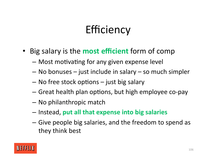# **Efficiency**

- Big salary is the **most efficient** form of comp
	- Most motivating for any given expense level
	- No bonuses just include in salary so much simpler
	- $-$  No free stock options  $-$  just big salary
	- $-$  Great health plan options, but high employee co-pay
	- No philanthropic match
	- Instead, **put all that expense into big salaries**
	- Give people big salaries, and the freedom to spend as they think best

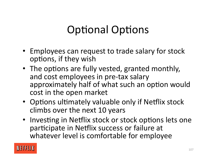# **Optional Options**

- Employees can request to trade salary for stock options, if they wish
- The options are fully vested, granted monthly, and cost employees in pre‐tax salary approximately half of what such an option would cost in the open market
- Options ultimately valuable only if Netflix stock climbs over the next 10 years
- Investing in Netflix stock or stock options lets one participate in Netflix success or failure at whatever level is comfortable for employee

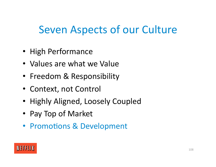### Seven Aspects of our Culture

- High Performance
- Values are what we Value
- Freedom & Responsibility
- Context, not Control
- Highly Aligned, Loosely Coupled
- Pay Top of Market
- Promotions & Development

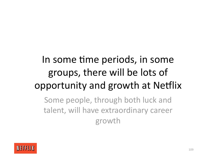# In some time periods, in some groups, there will be lots of opportunity and growth at Netflix

Some people, through both luck and talent, will have extraordinary career growth

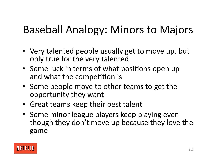# Baseball Analogy: Minors to Majors

- Very talented people usually get to move up, but only true for the very talented
- Some luck in terms of what positions open up and what the competition is
- Some people move to other teams to get the opportunity they want
- Great teams keep their best talent
- Some minor league players keep playing even though they don't move up because they love the game

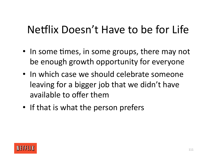#### Netflix Doesn't Have to be for Life

- In some times, in some groups, there may not be enough growth opportunity for everyone
- In which case we should celebrate someone leaving for a bigger job that we didn't have available to offer them
- If that is what the person prefers

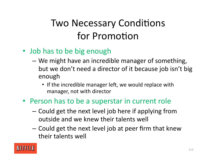#### Two Necessary Conditions for Promotion

- Job has to be big enough
	- We might have an incredible manager of something, but we don't need a director of it because job isn't big enough
		- If the incredible manager left, we would replace with manager, not with director
- Person has to be a superstar in current role
	- Could get the next level job here if applying from outside and we knew their talents well
	- Could get the next level job at peer firm that knew their talents well

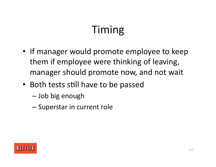# Timing

- If manager would promote employee to keep them if employee were thinking of leaving, manager should promote now, and not wait
- Both tests still have to be passed
	- Job big enough
	- Superstar in current role

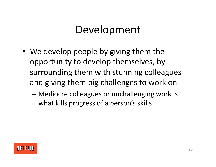#### Development

- We develop people by giving them the opportunity to develop themselves, by surrounding them with stunning colleagues and giving them big challenges to work on
	- Mediocre colleagues or unchallenging work is what kills progress of a person's skills

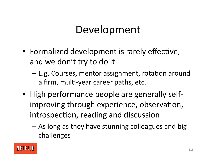## Development

- Formalized development is rarely effective, and we don't try to do it
	- E.g. Courses, mentor assignment, rotation around a firm, multi-year career paths, etc.
- High performance people are generally self‐ improving through experience, observation, introspection, reading and discussion
	- As long as they have stunning colleagues and big challenges

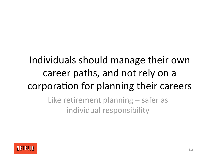# Individuals should manage their own career paths, and not rely on a corporation for planning their careers

Like retirement planning  $-$  safer as individual responsibility

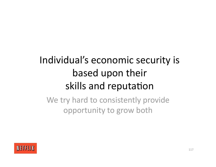# Individual's economic security is based upon their skills and reputation

We try hard to consistently provide opportunity to grow both

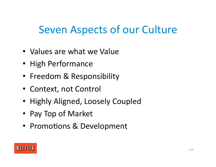#### Seven Aspects of our Culture

- Values are what we Value
- High Performance
- Freedom & Responsibility
- Context, not Control
- Highly Aligned, Loosely Coupled
- Pay Top of Market
- Promotions & Development

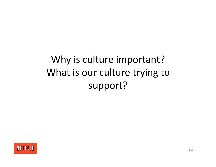## Why is culture important? What is our culture trying to support?

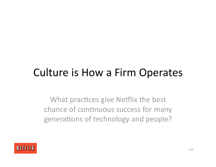## Culture is How a Firm Operates

What practices give Netflix the best chance of continuous success for many generations of technology and people?

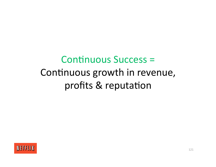## **Continuous Success =** Continuous growth in revenue, profits & reputation

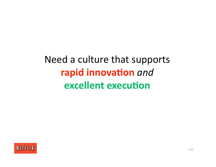#### Need a culture that supports **rapid innovation** and **excellent execution**

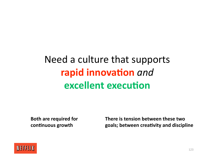### Need a culture that supports **rapid innovation** and **excellent execution**

**Both are required for**  continuous growth

**There is tension between these two goals; between creativity and discipline** 

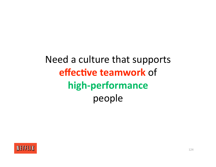# Need a culture that supports **effective teamwork of high‐performance**  people

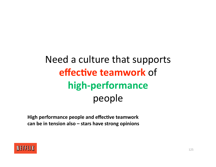# Need a culture that supports **effective teamwork of high‐performance**  people

**High performance people and effective teamwork can be in tension also – stars have strong opinions** 

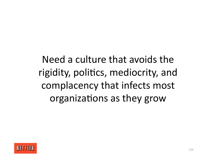Need a culture that avoids the rigidity, politics, mediocrity, and complacency that infects most organizations as they grow

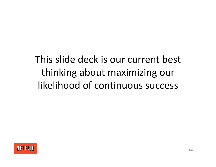# This slide deck is our current best thinking about maximizing our likelihood of continuous success